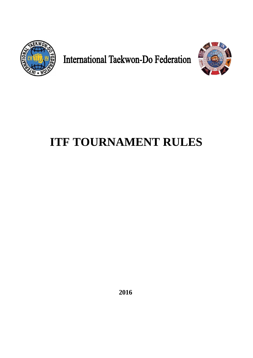

**International Taekwon-Do Federation** 



# **ITF TOURNAMENT RULES**

**2016**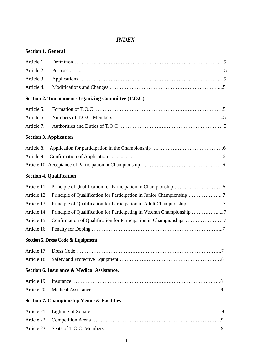## *INDEX*

## **Section 1. General**

| Article 1.  |                                                                        |  |
|-------------|------------------------------------------------------------------------|--|
| Article 2.  |                                                                        |  |
| Article 3.  |                                                                        |  |
| Article 4.  |                                                                        |  |
|             | <b>Section 2. Tournament Organizing Committee (T.O.C)</b>              |  |
| Article 5.  |                                                                        |  |
| Article 6.  |                                                                        |  |
| Article 7.  |                                                                        |  |
|             | <b>Section 3. Application</b>                                          |  |
| Article 8.  |                                                                        |  |
| Article 9.  |                                                                        |  |
|             |                                                                        |  |
|             | <b>Section 4. Qualification</b>                                        |  |
| Article 11. |                                                                        |  |
| Article 12. | Principle of Qualification for Participation in Junior Championship 7  |  |
| Article 13. | Principle of Qualification for Participation in Adult Championship 7   |  |
| Article 14. | Principle of Qualification for Participating in Veteran Championship 7 |  |
| Article 15. | Confirmation of Qualification for Participation in Championships 7     |  |
| Article 16. |                                                                        |  |
|             | Section 5. Dress Code & Equipment                                      |  |
|             |                                                                        |  |
| Article 18. |                                                                        |  |
|             | Section 6. Insurance & Medical Assistance.                             |  |
| Article 19. |                                                                        |  |
|             |                                                                        |  |
|             | <b>Section 7. Championship Venue &amp; Facilities</b>                  |  |
| Article 21. |                                                                        |  |
| Article 22. |                                                                        |  |
| Article 23. |                                                                        |  |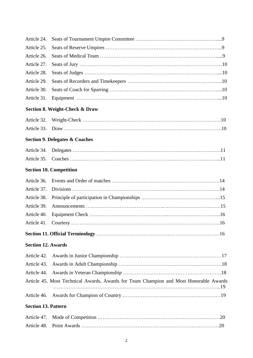| Article 24.                |                                                                                       |  |
|----------------------------|---------------------------------------------------------------------------------------|--|
| Article 25.                |                                                                                       |  |
| Article 26.                |                                                                                       |  |
| Article 27.                |                                                                                       |  |
| Article 28.                |                                                                                       |  |
| Article 29.                |                                                                                       |  |
| Article 30.                |                                                                                       |  |
| Article 31.                |                                                                                       |  |
|                            | Section 8. Weight-Check & Draw                                                        |  |
| Article 32.                |                                                                                       |  |
| Article 33.                |                                                                                       |  |
|                            | <b>Section 9. Delegates &amp; Coaches</b>                                             |  |
| Article 34.                |                                                                                       |  |
| Article 35.                |                                                                                       |  |
|                            | <b>Section 10. Competition</b>                                                        |  |
| Article 36.                |                                                                                       |  |
| Article 37.                |                                                                                       |  |
| Article 38.                |                                                                                       |  |
| Article 39.                |                                                                                       |  |
| Article 40.                |                                                                                       |  |
| Article 41.                |                                                                                       |  |
|                            |                                                                                       |  |
| <b>Section 12. Awards</b>  |                                                                                       |  |
| Article 42.                |                                                                                       |  |
| Article 43.                |                                                                                       |  |
| Article 44.                |                                                                                       |  |
|                            | Article 45. Most Technical Awards, Awards for Team Champion and Most Honorable Awards |  |
| Article 46.                |                                                                                       |  |
| <b>Section 13. Pattern</b> |                                                                                       |  |
| Article 47.                |                                                                                       |  |
| Article 48.                |                                                                                       |  |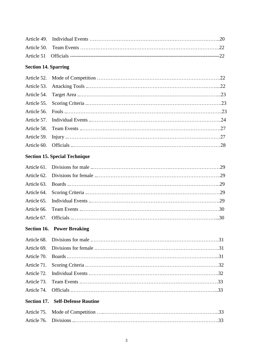| Article 49.                 |                                      |  |
|-----------------------------|--------------------------------------|--|
| Article 50.                 |                                      |  |
| Article 51                  |                                      |  |
| <b>Section 14. Sparring</b> |                                      |  |
| Article 52.                 |                                      |  |
| Article 53.                 |                                      |  |
| Article 54.                 |                                      |  |
| Article 55.                 |                                      |  |
| Article 56.                 |                                      |  |
| Article 57.                 |                                      |  |
| Article 58.                 |                                      |  |
| Article 59.                 |                                      |  |
| Article 60.                 |                                      |  |
|                             | <b>Section 15. Special Technique</b> |  |
| Article 61.                 |                                      |  |
| Article 62.                 |                                      |  |
| Article 63.                 |                                      |  |
| Article 64.                 |                                      |  |
| Article 65.                 |                                      |  |
| Article 66.                 |                                      |  |
| Article 67.                 |                                      |  |
|                             | <b>Section 16. Power Breaking</b>    |  |
| Article 68.                 |                                      |  |
| Article 69.                 |                                      |  |
| Article 70.                 |                                      |  |
| Article 71.                 |                                      |  |
| Article 72.                 |                                      |  |
| Article 73.                 |                                      |  |
| Article 74.                 |                                      |  |
| Section 17.                 | <b>Self-Defense Routine</b>          |  |
| Article 75.                 |                                      |  |
| Article 76.                 |                                      |  |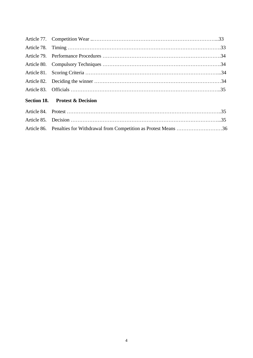| Section 18. Protest & Decision                                            |  |
|---------------------------------------------------------------------------|--|
|                                                                           |  |
|                                                                           |  |
| Article 86. Penalties for Withdrawal from Competition as Protest Means 36 |  |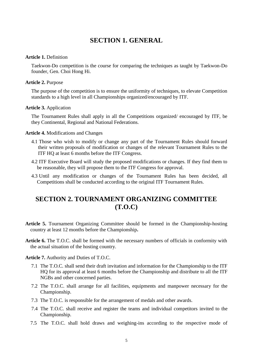## **SECTION 1. GENERAL**

### **Article 1.** Definition

Taekwon-Do competition is the course for comparing the techniques as taught by Taekwon-Do founder, Gen. Choi Hong Hi.

### **Article 2.** Purpose

The purpose of the competition is to ensure the uniformity of techniques, to elevate Competition standards to a high level in all Championships organized/encouraged by ITF.

### **Article 3.** Application

The Tournament Rules shall apply in all the Competitions organized/ encouraged by ITF, be they Continental, Regional and National Federations.

### **Article 4.** Modifications and Changes

- 4.1 Those who wish to modify or change any part of the Tournament Rules should forward their written proposals of modification or changes of the relevant Tournament Rules to the ITF HQ at least 6 months before the ITF Congress.
- 4.2 ITF Executive Board will study the proposed modifications or changes. If they find them to be reasonable, they will propose them to the ITF Congress for approval.
- 4.3 Until any modification or changes of the Tournament Rules has been decided, all Competitions shall be conducted according to the original ITF Tournament Rules.

## **SECTION 2. TOURNAMENT ORGANIZING COMMITTEE (T.O.C)**

- **Article 5.** Tournament Organizing Committee should be formed in the Championship-hosting country at least 12 months before the Championship**.**
- Article 6. The T.O.C. shall be formed with the necessary numbers of officials in conformity with the actual situation of the hosting country.

**Article 7.** Authority and Duties of T.O.C.

- 7.1 The T.O.C. shall send their draft invitation and information for the Championship to the ITF HQ for its approval at least 6 months before the Championship and distribute to all the ITF NGBs and other concerned parties.
- 7.2 The T.O.C. shall arrange for all facilities, equipments and manpower necessary for the Championship.
- 7.3 The T.O.C. is responsible for the arrangement of medals and other awards.
- 7.4 The T.O.C. shall receive and register the teams and individual competitors invited to the Championship.
- 7.5 The T.O.C. shall hold draws and weighing-ins according to the respective mode of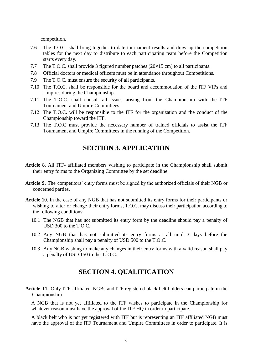competition.

- 7.6 The T.O.C. shall bring together to date tournament results and draw up the competition tables for the next day to distribute to each participating team before the Competition starts every day.
- 7.7 The T.O.C. shall provide 3 figured number patches  $(20\times15 \text{ cm})$  to all participants.
- 7.8 Official doctors or medical officers must be in attendance throughout Competitions.
- 7.9 The T.O.C. must ensure the security of all participants.
- 7.10 The T.O.C. shall be responsible for the board and accommodation of the ITF VIPs and Umpires during the Championship.
- 7.11 The T.O.C. shall consult all issues arising from the Championship with the ITF Tournament and Umpire Committees.
- 7.12 The T.O.C. will be responsible to the ITF for the organization and the conduct of the Championship toward the ITF.
- 7.13 The T.O.C must provide the necessary number of trained officials to assist the ITF Tournament and Umpire Committees in the running of the Competition.

## **SECTION 3. APPLICATION**

- **Article 8.** All ITF- affiliated members wishing to participate in the Championship shall submit their entry forms to the Organizing Committee by the set deadline.
- **Article 9.** The competitors' entry forms must be signed by the authorized officials of their NGB or concerned parties.
- **Article 10.** In the case of any NGB that has not submitted its entry forms for their participants or wishing to alter or change their entry forms, T.O.C. may discuss their participation according to the following conditions;
	- 10.1 The NGB that has not submitted its entry form by the deadline should pay a penalty of USD 300 to the T.O.C.
	- 10.2 Any NGB that has not submitted its entry forms at all until 3 days before the Championship shall pay a penalty of USD 500 to the T.O.C.
	- 10.3 Any NGB wishing to make any changes in their entry forms with a valid reason shall pay a penalty of USD 150 to the T. O.C.

## **SECTION 4. QUALIFICATION**

**Article 11.** Only ITF affiliated NGBs and ITF registered black belt holders can participate in the Championship.

A NGB that is not yet affiliated to the ITF wishes to participate in the Championship for whatever reason must have the approval of the ITF HQ in order to participate.

A black belt who is not yet registered with ITF but is representing an ITF affiliated NGB must have the approval of the ITF Tournament and Umpire Committees in order to participate. It is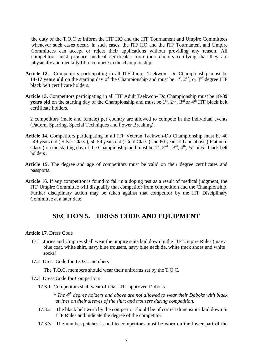the duty of the T.O.C to inform the ITF HQ and the ITF Tournament and Umpire Committees whenever such cases occur. In such cases, the ITF HO and the ITF Tournament and Umpire Committees can accept or reject their applications without providing any reason. All competitors must produce medical certificates from their doctors certifying that they are physically and mentally fit to compete in the championship.

- **Article 12.** Competitors participating in all ITF Junior Taekwon- Do Championship must be **14-17 years old** on the starting day of the Championship and must be 1<sup>st</sup>, 2<sup>nd</sup>, or 3<sup>rd</sup> degree ITF black belt certificate holders.
- **Article 13.** Competitors participating in all ITF Adult Taekwon- Do Championship must be **18-39 years old** on the starting day of the Championship and must be  $1<sup>st</sup>$ ,  $2<sup>nd</sup>$ ,  $3<sup>rd</sup>$  or  $4<sup>th</sup> ITF$  black belt certificate holders.

2 competitors (male and female) per country are allowed to compete in the individual events (Pattern, Sparring, Special Techniques and Power Breaking).

- **Article 14.** Competitors participating in all ITF Veteran Taekwon-Do Championship must be 40 –49 years old ( Silver Class ), 50-59 years old ( Gold Class ) and 60 years old and above ( Platinum Class) on the starting day of the Championship and must be  $1<sup>st</sup>$ ,  $2<sup>nd</sup>$ ,  $3<sup>rd</sup>$ ,  $4<sup>th</sup>$ ,  $5<sup>th</sup>$  or  $6<sup>th</sup>$  black belt holders .
- Article 15. The degree and age of competitors must be valid on their degree certificates and passports.
- **Article 16.** If any competitor is found to fail in a doping test as a result of medical judgment, the ITF Umpire Committee will disqualify that competitor from competition and the Championship. Further disciplinary action may be taken against that competitor by the ITF Disciplinary Committee at a later date.

## **SECTION 5. DRESS CODE AND EQUIPMENT**

**Article 17.** Dress Code

- 17.1 Juries and Umpires shall wear the umpire suits laid down in the ITF Umpire Rules ( navy blue coat, white shirt, navy blue trousers, navy blue neck tie, white track shoes and white socks)
- 17.2 Dress Code for T.O.C. members

The T.O.C. members should wear their uniforms set by the T.O.C.

- 17.3 Dress Code for Competitors
	- 17.3.1 Competitors shall wear official ITF- approved Doboks.

*\* The 4th degree holders and above are not allowed to wear their Doboks with black stripes on their sleeves of the shirt and trousers during competition.*

- 17.3.2 The black belt worn by the competitor should be of correct dimensions laid down in ITF Rules and indicate the degree of the competitor.
- 17.3.3 The number patches issued to competitors must be worn on the lower part of the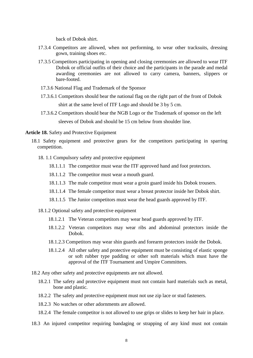back of Dobok shirt.

- 17.3.4 Competitors are allowed, when not performing, to wear other tracksuits, dressing gown, training shoes etc.
- 17.3.5 Competitors participating in opening and closing ceremonies are allowed to wear ITF Dobok or official outfits of their choice and the participants in the parade and medal awarding ceremonies are not allowed to carry camera, banners, slippers or bare-footed.
	- 17.3.6 National Flag and Trademark of the Sponsor
- 17.3.6.1 Competitors should bear the national flag on the right part of the front of Dobok shirt at the same level of ITF Logo and should be 3 by 5 cm.
- 17.3.6.2 Competitors should bear the NGB Logo or the Trademark of sponsor on the left sleeves of Dobok and should be 15 cm below from shoulder line.

**Article 18.** Safety and Protective Equipment

- 18.1 Safety equipment and protective gears for the competitors participating in sparring competition.
	- 18. 1.1 Compulsory safety and protective equipment
		- 18.1.1.1 The competitor must wear the ITF approved hand and foot protectors.
		- 18.1.1.2 The competitor must wear a mouth guard.
		- 18.1.1.3 The male competitor must wear a groin guard inside his Dobok trousers.
		- 18.1.1.4 The female competitor must wear a breast protector inside her Dobok shirt.
		- 18.1.1.5 The Junior competitors must wear the head guards approved by ITF.
	- 18.1.2 Optional safety and protective equipment
		- 18.1.2.1 The Veteran competitors may wear head guards approved by ITF.
		- 18.1.2.2 Veteran competitors may wear ribs and abdominal protectors inside the Dobok.
		- 18.1.2.3 Competitors may wear shin guards and forearm protectors inside the Dobok.
		- 18.1.2.4 All other safety and protective equipment must be consisting of elastic sponge or soft rubber type padding or other soft materials which must have the approval of the ITF Tournament and Umpire Committees.
- 18.2 Any other safety and protective equipments are not allowed.
	- 18.2.1 The safety and protective equipment must not contain hard materials such as metal, bone and plastic.
	- 18.2.2 The safety and protective equipment must not use zip lace or stud fasteners.
	- 18.2.3 No watches or other adornments are allowed.
	- 18.2.4 The female competitor is not allowed to use grips or slides to keep her hair in place.
- 18.3 An injured competitor requiring bandaging or strapping of any kind must not contain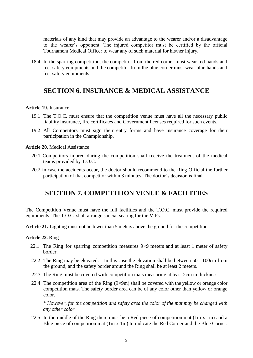materials of any kind that may provide an advantage to the wearer and/or a disadvantage to the wearer's opponent. The injured competitor must be certified by the official Tournament Medical Officer to wear any of such material for his/her injury.

18.4 In the sparring competition, the competitor from the red corner must wear red hands and feet safety equipments and the competitor from the blue corner must wear blue hands and feet safety equipments.

## **SECTION 6. INSURANCE & MEDICAL ASSISTANCE**

### **Article 19.** Insurance

- 19.1 The T.O.C. must ensure that the competition venue must have all the necessary public liability insurance, fire certificates and Government licenses required for such events.
- 19.2 All Competitors must sign their entry forms and have insurance coverage for their participation in the Championship.

### **Article 20.** Medical Assistance

- 20.1 Competitors injured during the competition shall receive the treatment of the medical teams provided by T.O.C.
- 20.2 In case the accidents occur, the doctor should recommend to the Ring Official the further participation of that competitor within 3 minutes. The doctor's decision is final.

## **SECTION 7. COMPETITION VENUE & FACILITIES**

The Competition Venue must have the full facilities and the T.O.C. must provide the required equipments. The T.O.C. shall arrange special seating for the VIPs.

Article 21. Lighting must not be lower than 5 meters above the ground for the competition.

### **Article 22.** Ring

- 22.1 The Ring for sparring competition measures  $9\times9$  meters and at least 1 meter of safety border.
- 22.2 The Ring may be elevated. In this case the elevation shall be between 50 100cm from the ground, and the safety border around the Ring shall be at least 2 meters.
- 22.3 The Ring must be covered with competition mats measuring at least 2cm in thickness.
- 22.4 The competition area of the Ring  $(9 \times 9m)$  shall be covered with the yellow or orange color competition mats. The safety border area can be of any color other than yellow or orange color.

*\* However, for the competition and safety area the color of the mat may be changed with any other color.*

22.5 In the middle of the Ring there must be a Red piece of competition mat (1m x 1m) and a Blue piece of competition mat (1m x 1m) to indicate the Red Corner and the Blue Corner.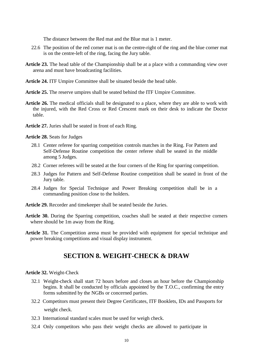The distance between the Red mat and the Blue mat is 1 meter.

- 22.6 The position of the red corner mat is on the centre-right of the ring and the blue corner mat is on the centre-left of the ring, facing the Jury table.
- **Article 23.** The head table of the Championship shall be at a place with a commanding view over arena and must have broadcasting facilities.
- **Article 24.** ITF Umpire Committee shall be situated beside the head table.
- **Article 25.** The reserve umpires shall be seated behind the ITF Umpire Committee.
- **Article 26.** The medical officials shall be designated to a place, where they are able to work with the injured, with the Red Cross or Red Crescent mark on their desk to indicate the Doctor table.
- **Article 27.** Juries shall be seated in front of each Ring.

### **Article 28.** Seats for Judges

- 28.1 Center referee for sparring competition controls matches in the Ring. For Pattern and Self-Defense Routine competition the center referee shall be seated in the middle among 5 Judges.
- 28.2 Corner referees will be seated at the four corners of the Ring for sparring competition.
- 28.3 Judges for Pattern and Self-Defense Routine competition shall be seated in front of the Jury table.
- 28.4 Judges for Special Technique and Power Breaking competition shall be in a commanding position close to the holders.
- **Article 29.** Recorder and timekeeper shall be seated beside the Juries.
- Article 30. During the Sparring competition, coaches shall be seated at their respective corners where should be 1m away from the Ring.
- Article 31. The Competition arena must be provided with equipment for special technique and power breaking competitions and visual display instrument.

## **SECTION 8. WEIGHT-CHECK & DRAW**

### **Article 32.** Weight-Check

- 32.1 Weight-check shall start 72 hours before and closes an hour before the Championship begins. It shall be conducted by officials appointed by the T.O.C., confirming the entry forms submitted by the NGBs or concerned parties.
- 32.2 Competitors must present their Degree Certificates, ITF Booklets, IDs and Passports for weight check.
- 32.3 International standard scales must be used for weigh check.
- 32.4 Only competitors who pass their weight checks are allowed to participate in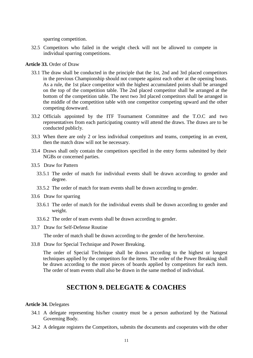sparring competition.

32.5 Competitors who failed in the weight check will not be allowed to compete in individual sparring competitions.

### **Article 33.** Order of Draw

- 33.1 The draw shall be conducted in the principle that the 1st, 2nd and 3rd placed competitors in the previous Championship should not compete against each other at the opening bouts. As a rule, the 1st place competitor with the highest accumulated points shall be arranged on the top of the competition table. The 2nd placed competitor shall be arranged at the bottom of the competition table. The next two 3rd placed competitors shall be arranged in the middle of the competition table with one competitor competing upward and the other competing downward.
- 33.2 Officials appointed by the ITF Tournament Committee and the T.O.C and two representatives from each participating country will attend the draws. The draws are to be conducted publicly.
- 33.3 When there are only 2 or less individual competitors and teams, competing in an event, then the match draw will not be necessary.
- 33.4 Draws shall only contain the competitors specified in the entry forms submitted by their NGBs or concerned parties.
- 33.5 Draw for Pattern
	- 33.5.1 The order of match for individual events shall be drawn according to gender and degree.
	- 33.5.2 The order of match for team events shall be drawn according to gender.
- 33.6 Draw for sparring
	- 33.6.1 The order of match for the individual events shall be drawn according to gender and weight.
	- 33.6.2 The order of team events shall be drawn according to gender.
- 33.7 Draw for Self-Defense Routine

The order of match shall be drawn according to the gender of the hero/heroine.

33.8 Draw for Special Technique and Power Breaking.

The order of Special Technique shall be drawn according to the highest or longest techniques applied by the competitors for the items. The order of the Power Breaking shall be drawn according to the most pieces of boards applied by competitors for each item. The order of team events shall also be drawn in the same method of individual.

## **SECTION 9. DELEGATE & COACHES**

### **Article 34.** Delegates

- 34.1 A delegate representing his/her country must be a person authorized by the National Governing Body.
- 34.2 A delegate registers the Competitors, submits the documents and cooperates with the other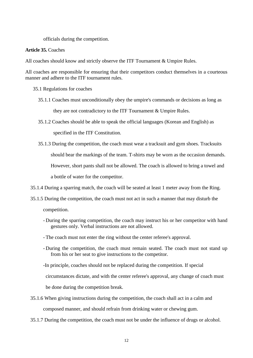officials during the competition.

### **Article 35.** Coaches

All coaches should know and strictly observe the ITF Tournament & Umpire Rules.

All coaches are responsible for ensuring that their competitors conduct themselves in a courteous manner and adhere to the ITF tournament rules.

- 35.1 Regulations for coaches
	- 35.1.1 Coaches must unconditionally obey the umpire's commands or decisions as long as they are not contradictory to the ITF Tournament & Umpire Rules.
	- 35.1.2 Coaches should be able to speak the official languages (Korean and English) as

specified in the ITF Constitution.

- 35.1.3 During the competition, the coach must wear a tracksuit and gym shoes. Tracksuits should bear the markings of the team. T-shirts may be worn as the occasion demands. However, short pants shall not be allowed. The coach is allowed to bring a towel and a bottle of water for the competitor.
- 35.1.4 During a sparring match, the coach will be seated at least 1 meter away from the Ring.
- 35.1.5 During the competition, the coach must not act in such a manner that may disturb the competition.
	- During the sparring competition, the coach may instruct his or her competitor with hand gestures only. Verbal instructions are not allowed.
	- The coach must not enter the ring without the center referee's approval.
	- During the competition, the coach must remain seated. The coach must not stand up from his or her seat to give instructions to the competitor.
	- -In principle, coaches should not be replaced during the competition. If special

circumstances dictate, and with the center referee's approval, any change of coach must

be done during the competition break.

- 35.1.6 When giving instructions during the competition, the coach shall act in a calm and composed manner, and should refrain from drinking water or chewing gum.
- 35.1.7 During the competition, the coach must not be under the influence of drugs or alcohol.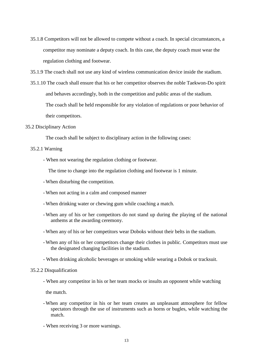- 35.1.8 Competitors will not be allowed to compete without a coach. In special circumstances, a competitor may nominate a deputy coach. In this case, the deputy coach must wear the regulation clothing and footwear.
- 35.1.9 The coach shall not use any kind of wireless communication device inside the stadium.
- 35.1.10 The coach shall ensure that his or her competitor observes the noble Taekwon-Do spirit and behaves accordingly, both in the competition and public areas of the stadium. The coach shall be held responsible for any violation of regulations or poor behavior of their competitors.

### 35.2 Disciplinary Action

The coach shall be subject to disciplinary action in the following cases:

### 35.2.1 Warning

- When not wearing the regulation clothing or footwear.

The time to change into the regulation clothing and footwear is 1 minute.

- When disturbing the competition.
- When not acting in a calm and composed manner
- When drinking water or chewing gum while coaching a match.
- When any of his or her competitors do not stand up during the playing of the national anthems at the awarding ceremony.
- When any of his or her competitors wear Doboks without their belts in the stadium.
- When any of his or her competitors change their clothes in public. Competitors must use the designated changing facilities in the stadium.
- When drinking alcoholic beverages or smoking while wearing a Dobok or tracksuit.

### 35.2.2 Disqualification

- When any competitor in his or her team mocks or insults an opponent while watching

the match.

- When any competitor in his or her team creates an unpleasant atmosphere for fellow spectators through the use of instruments such as horns or bugles, while watching the match.
- When receiving 3 or more warnings.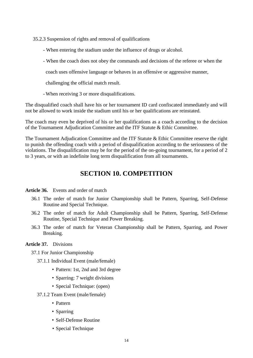35.2.3 Suspension of rights and removal of qualifications

- When entering the stadium under the influence of drugs or alcohol.
- When the coach does not obey the commands and decisions of the referee or when the

coach uses offensive language or behaves in an offensive or aggressive manner,

challenging the official match result.

- When receiving 3 or more disqualifications.

The disqualified coach shall have his or her tournament ID card confiscated immediately and will not be allowed to work inside the stadium until his or her qualifications are reinstated.

The coach may even be deprived of his or her qualifications as a coach according to the decision of the Tournament Adjudication Committee and the ITF Statute & Ethic Committee.

The Tournament Adjudication Committee and the ITF Statute & Ethic Committee reserve the right to punish the offending coach with a period of disqualification according to the seriousness of the violations. The disqualification may be for the period of the on-going tournament, for a period of 2 to 3 years, or with an indefinite long term disqualification from all tournaments.

## **SECTION 10. COMPETITION**

**Article 36.** Events and order of match

- 36.1 The order of match for Junior Championship shall be Pattern, Sparring, Self-Defense Routine and Special Technique.
- 36.2 The order of match for Adult Championship shall be Pattern, Sparring, Self-Defense Routine, Special Technique and Power Breaking.
- 36.3 The order of match for Veteran Championship shall be Pattern, Sparring, and Power Breaking.
- **Article 37.** Divisions
	- 37.1 For Junior Championship
		- 37.1.1 Individual Event (male/female)
			- Pattern: 1st, 2nd and 3rd degree
			- Sparring: 7 weight divisions
			- Special Technique: (open)
		- 37.1.2 Team Event (male/female)
			- Pattern
			- Sparring
			- Self-Defense Routine
			- Special Technique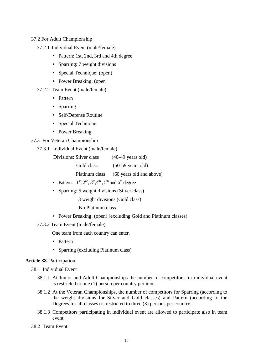### 37.2 For Adult Championship

- 37.2.1 Individual Event (male/female)
	- Pattern: 1st, 2nd, 3rd and 4th degree
	- Sparring: 7 weight divisions
	- Special Technique: (open)
	- Power Breaking: (open
- 37.2.2 Team Event (male/female)
	- Pattern
	- Sparring
	- Self-Defense Routine
	- Special Technique
	- Power Breaking

### 37.3 For Veteran Championship

37.3.1 Individual Event (male/female)

| Divisions: Silver class | $(40-49 \text{ years old})$ |
|-------------------------|-----------------------------|
| Gold class              | $(50-59 \text{ years old})$ |
| Platinum class          | (60 years old and above)    |

- Pattern:  $1<sup>st</sup>, 2<sup>nd</sup>, 3<sup>rd</sup>, 4<sup>th</sup>$ ,  $5<sup>th</sup>$  and  $6<sup>th</sup>$  degree
- Sparring: 5 weight divisions (Silver class)
	- 3 weight divisions (Gold class)
	- No Platinum class
- Power Breaking: (open) (excluding Gold and Platinum classes)

### 37.3.2 Team Event (male/female)

One team from each country can enter.

- Pattern
- Sparring (excluding Platinum class)

### **Article 38.** Participation

- 38.1 Individual Event
	- 38.1.1 At Junior and Adult Championships the number of competitors for individual event is restricted to one (1) person per country per item.
	- 38.1.2 At the Veteran Championships, the number of competitors for Sparring (according to the weight divisions for Silver and Gold classes) and Pattern (according to the Degrees for all classes) is restricted to three (3) persons per country.
	- 38.1.3 Competitors participating in individual event are allowed to participate also in team event.
- 38.2 Team Event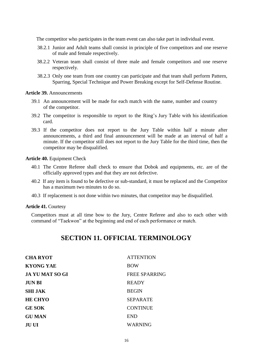The competitor who participates in the team event can also take part in individual event.

- 38.2.1 Junior and Adult teams shall consist in principle of five competitors and one reserve of male and female respectively.
- 38.2.2 Veteran team shall consist of three male and female competitors and one reserve respectively.
- 38.2.3 Only one team from one country can participate and that team shall perform Pattern, Sparring, Special Technique and Power Breaking except for Self-Defense Routine.

**Article 39.** Announcements

- 39.1 An announcement will be made for each match with the name, number and country of the competitor.
- 39.2 The competitor is responsible to report to the Ring's Jury Table with his identification card.
- 39.3 If the competitor does not report to the Jury Table within half a minute after announcements, a third and final announcement will be made at an interval of half a minute. If the competitor still does not report to the Jury Table for the third time, then the competitor may be disqualified.

**Article 40.** Equipment Check

- 40.1 The Centre Referee shall check to ensure that Dobok and equipments, etc. are of the officially approved types and that they are not defective.
- 40.2 If any item is found to be defective or sub-standard, it must be replaced and the Competitor has a maximum two minutes to do so.
- 40.3 If replacement is not done within two minutes, that competitor may be disqualified.

### **Article 41.** Courtesy

Competitors must at all time bow to the Jury, Centre Referee and also to each other with command of "Taekwon" at the beginning and end of each performance or match.

## **SECTION 11. OFFICIAL TERMINOLOGY**

| <b>ATTENTION</b>     |
|----------------------|
| <b>BOW</b>           |
| <b>FREE SPARRING</b> |
| <b>READY</b>         |
| <b>BEGIN</b>         |
| <b>SEPARATE</b>      |
| <b>CONTINUE</b>      |
| <b>END</b>           |
| WARNING              |
|                      |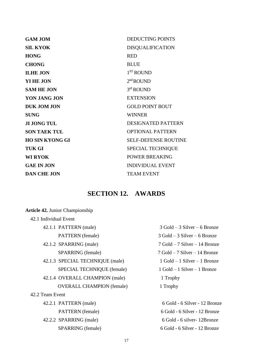| <b>GAM JOM</b>         | <b>DEDUCTING POINTS</b>     |
|------------------------|-----------------------------|
| <b>SIL KYOK</b>        | <b>DISQUALIFICATION</b>     |
| <b>HONG</b>            | <b>RED</b>                  |
| <b>CHONG</b>           | <b>BLUE</b>                 |
| <b>ILHE JON</b>        | $1ST$ ROUND                 |
| <b>YI HE JON</b>       | $2nd$ ROUND                 |
| <b>SAM HE JON</b>      | $3rd$ ROUND                 |
| YON JANG JON           | <b>EXTENSION</b>            |
| <b>DUK JOM JON</b>     | <b>GOLD POINT BOUT</b>      |
| <b>SUNG</b>            | <b>WINNER</b>               |
| <b>JI JONG TUL</b>     | <b>DESIGNATED PATTERN</b>   |
| <b>SON TAEK TUL</b>    | <b>OPTIONAL PATTERN</b>     |
| <b>HO SIN KYONG GI</b> | <b>SELF-DEFENSE ROUTINE</b> |
| <b>TUK GI</b>          | <b>SPECIAL TECHNIQUE</b>    |
| <b>WI RYOK</b>         | POWER BREAKING              |
| <b>GAE IN JON</b>      | <b>INDIVIDUAL EVENT</b>     |
| <b>DAN CHE JON</b>     | <b>TEAM EVENT</b>           |
|                        |                             |

## **SECTION 12. AWARDS**

| <b>Article 42. Junior Championship</b> |                                   |
|----------------------------------------|-----------------------------------|
| 42.1 Individual Event                  |                                   |
| 42.1.1 PATTERN (male)                  | $3$ Gold $-3$ Silver $-6$ Bronze  |
| <b>PATTERN</b> (female)                | $3$ Gold $-3$ Silver $-6$ Bronze  |
| 42.1.2 SPARRING (male)                 | $7$ Gold $-7$ Silver $-14$ Bronze |
| SPARRING (female)                      | $7$ Gold $-7$ Silver $-14$ Bronze |
| 42.1.3 SPECIAL TECHNIQUE (male)        | $1$ Gold $-1$ Silver $-1$ Bronze  |
| SPECIAL TECHNIQUE (female)             | $1$ Gold $-1$ Silver $-1$ Bronze  |
| 42.1.4 OVERALL CHAMPION (male)         | 1 Trophy                          |
| <b>OVERALL CHAMPION</b> (female)       | 1 Trophy                          |
| 42.2 Team Event                        |                                   |
| 42.2.1 PATTERN (male)                  | 6 Gold - 6 Silver - 12 Bronze     |
| <b>PATTERN</b> (female)                | 6 Gold - 6 Silver - 12 Bronze     |
| 42.2.2 SPARRING (male)                 | 6 Gold - 6 silver-12Bronze        |
| SPARRING (female)                      | 6 Gold - 6 Silver - 12 Bronze     |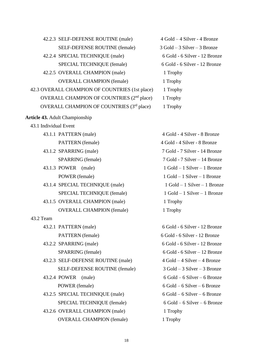|                       | 42.2.3 SELF-DEFENSE ROUTINE (male)                    | $4$ Gold $-4$ Silver - $4$ Bronze  |
|-----------------------|-------------------------------------------------------|------------------------------------|
|                       | SELF-DEFENSE ROUTINE (female)                         | $3$ Gold $-3$ Silver $-3$ Bronze   |
|                       | 42.2.4 SPECIAL TECHNIQUE (male)                       | 6 Gold - 6 Silver - 12 Bronze      |
|                       | SPECIAL TECHNIQUE (female)                            | 6 Gold - 6 Silver - 12 Bronze      |
|                       | 42.2.5 OVERALL CHAMPION (male)                        | 1 Trophy                           |
|                       | <b>OVERALL CHAMPION</b> (female)                      | 1 Trophy                           |
|                       | 42.3 OVERALL CHAMPION OF COUNTRIES (1st place)        | 1 Trophy                           |
|                       | OVERALL CHAMPION OF COUNTRIES (2 <sup>nd</sup> place) | 1 Trophy                           |
|                       | OVERALL CHAMPION OF COUNTRIES (3rd place)             | 1 Trophy                           |
|                       | Article 43. Adult Championship                        |                                    |
| 43.1 Individual Event |                                                       |                                    |
|                       | 43.1.1 PATTERN (male)                                 | 4 Gold - 4 Silver - 8 Bronze       |
|                       | PATTERN (female)                                      | 4 Gold - 4 Silver - 8 Bronze       |
|                       | 43.1.2 SPARRING (male)                                | 7 Gold - 7 Silver - 14 Bronze      |
|                       | SPARRING (female)                                     | 7 Gold - 7 Silver - 14 Bronze      |
|                       | 43.1.3 POWER (male)                                   | $1$ Gold $-1$ Silver $-1$ Bronze   |
|                       | POWER (female)                                        | $1$ Gold $-1$ Silver $-1$ Bronze   |
|                       | 43.1.4 SPECIAL TECHNIQUE (male)                       | $1$ Gold $-1$ Silver $-1$ Bronze   |
|                       | SPECIAL TECHNIQUE (female)                            | $1$ Gold $-1$ Silver $-1$ Bronze   |
|                       | 43.1.5 OVERALL CHAMPION (male)                        | 1 Trophy                           |
|                       | <b>OVERALL CHAMPION</b> (female)                      | 1 Trophy                           |
| 43.2 Team             |                                                       |                                    |
|                       | 43.2.1 PATTERN (male)                                 | 6 Gold - 6 Silver - 12 Bronze      |
|                       | <b>PATTERN</b> (female)                               | 6 Gold - 6 Silver - 12 Bronze      |
|                       | 43.2.2 SPARRING (male)                                | 6 Gold - 6 Silver - 12 Bronze      |
|                       | SPARRING (female)                                     | 6 Gold - 6 Silver – 12 Bronze      |
|                       | 43.2.3 SELF-DEFENSE ROUTINE (male)                    | $4$ Gold $-4$ Silver $-4$ Bronze   |
|                       | SELF-DEFENSE ROUTINE (female)                         | $3$ Gold $-3$ Silver $-3$ Bronze   |
|                       | 43.2.4 POWER (male)                                   | $6$ Gold – $6$ Silver – $6$ Bronze |
|                       | POWER (female)                                        | $6$ Gold $-6$ Silver $-6$ Bronze   |
|                       | 43.2.5 SPECIAL TECHNIQUE (male)                       | $6$ Gold $-6$ Silver $-6$ Bronze   |
|                       | SPECIAL TECHNIQUE (female)                            | $6$ Gold – $6$ Silver – $6$ Bronze |
|                       | 43.2.6 OVERALL CHAMPION (male)                        | 1 Trophy                           |
|                       | <b>OVERALL CHAMPION</b> (female)                      | 1 Trophy                           |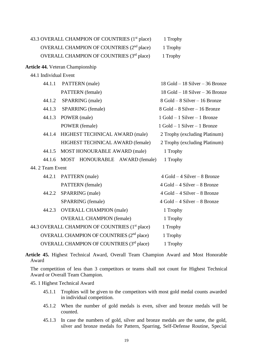| 43.3 OVERALL CHAMPION OF COUNTRIES (1 <sup>st</sup> place) | 1 Trophy |
|------------------------------------------------------------|----------|
| OVERALL CHAMPION OF COUNTRIES (2 <sup>nd</sup> place)      | 1 Trophy |
| OVERALL CHAMPION OF COUNTRIES (3rd place)                  | 1 Trophy |

### **Article 44.** Veteran Championship

44.1 Individual Event

| 44.1.1           | PATTERN (male)                                             | $18$ Gold $-18$ Silver $-36$ Bronze |
|------------------|------------------------------------------------------------|-------------------------------------|
|                  | PATTERN (female)                                           | $18$ Gold $-18$ Silver $-36$ Bronze |
| 44.1.2           | SPARRING (male)                                            | 8 Gold – 8 Silver – 16 Bronze       |
| 44.1.3           | SPARRING (female)                                          | 8 Gold – 8 Silver – 16 Bronze       |
| 44.1.3           | POWER (male)                                               | $1$ Gold $-1$ Silver $-1$ Bronze    |
|                  | POWER (female)                                             | $1$ Gold $-1$ Silver $-1$ Bronze    |
| 44.1.4           | HIGHEST TECHNICAL AWARD (male)                             | 2 Trophy (excluding Platinum)       |
|                  | HIGHEST TECHNICAL AWARD (female)                           | 2 Trophy (excluding Platinum)       |
| 44.1.5           | MOST HONOURABLE AWARD (male)                               | 1 Trophy                            |
| 44.1.6           | MOST HONOURABLE AWARD (female)                             | 1 Trophy                            |
| 44. 2 Team Event |                                                            |                                     |
| 44.2.1           | PATTERN (male)                                             | $4$ Gold $-4$ Silver $-8$ Bronze    |
|                  | PATTERN (female)                                           | $4$ Gold $-4$ Silver $-8$ Bronze    |
| 44.2.2           | SPARRING (male)                                            | $4$ Gold $-4$ Silver $-8$ Bronze    |
|                  | SPARRING (female)                                          | $4$ Gold $-4$ Silver $-8$ Bronze    |
| 44.2.3           | <b>OVERALL CHAMPION</b> (male)                             | 1 Trophy                            |
|                  | <b>OVERALL CHAMPION</b> (female)                           | 1 Trophy                            |
|                  | 44.3 OVERALL CHAMPION OF COUNTRIES (1 <sup>st</sup> place) | 1 Trophy                            |
|                  | OVERALL CHAMPION OF COUNTRIES (2 <sup>nd</sup> place)      | 1 Trophy                            |
|                  | OVERALL CHAMPION OF COUNTRIES (3rd place)                  | 1 Trophy                            |

**Article 45.** Highest Technical Award, Overall Team Champion Award and Most Honorable Award

The competition of less than 3 competitors or teams shall not count for Highest Technical Award or Overall Team Champion.

45. 1 Highest Technical Award

- 45.1.1 Trophies will be given to the competitors with most gold medal counts awarded in individual competition.
- 45.1.2 When the number of gold medals is even, silver and bronze medals will be counted.
- 45.1.3 In case the numbers of gold, silver and bronze medals are the same, the gold, silver and bronze medals for Pattern, Sparring, Self-Defense Routine, Special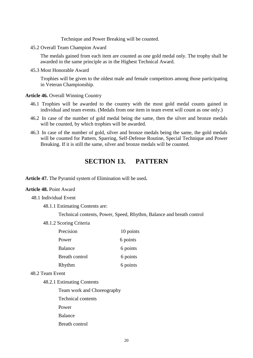Technique and Power Breaking will be counted.

45.2 Overall Team Champion Award

The medals gained from each item are counted as one gold medal only. The trophy shall be awarded in the same principle as in the Highest Technical Award.

45.3 Most Honorable Award

Trophies will be given to the oldest male and female competitors among those participating in Veteran Championship.

### **Article 46.** Overall Winning Country

- 46.1 Trophies will be awarded to the country with the most gold medal counts gained in individual and team events. (Medals from one item in team event will count as one only.)
- 46.2 In case of the number of gold medal being the same, then the silver and bronze medals will be counted, by which trophies will be awarded.
- 46.3 In case of the number of gold, silver and bronze medals being the same, the gold medals will be counted for Pattern, Sparring, Self-Defense Routine, Special Technique and Power Breaking. If it is still the same, silver and bronze medals will be counted.

## **SECTION 13. PATTERN**

**Article 47.** The Pyramid system of Elimination will be used**.**

### **Article 48.** Point Award

### 48.1 Individual Event

48.1.1 Estimating Contents are:

Technical contents, Power, Speed, Rhythm, Balance and breath control

48.1.2 Scoring Criteria

| Precision      | 10 points |  |
|----------------|-----------|--|
| Power          | 6 points  |  |
| <b>Balance</b> | 6 points  |  |
| Breath control | 6 points  |  |
| Rhythm         | 6 points  |  |

### 48.2 Team Event

48.2.1 Estimating Contents

Team work and Choreography

- Technical contents
- Power
- Balance
- Breath control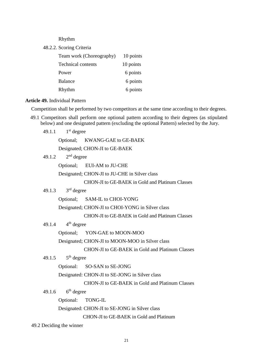### Rhythm

48.2.2. Scoring Criteria

| Team work (Choreography)  | 10 points |
|---------------------------|-----------|
| <b>Technical contents</b> | 10 points |
| Power                     | 6 points  |
| <b>Balance</b>            | 6 points  |
| Rhythm                    | 6 points  |

### **Article 49.** Individual Pattern

Competition shall be performed by two competitors at the same time according to their degrees.

- 49.1 Competitors shall perform one optional pattern according to their degrees (as stipulated below) and one designated pattern (excluding the optional Pattern) selected by the Jury.
	- 49.1.1  $1<sup>st</sup>$  degree

Optional; KWANG-GAE to GE-BAEK

Designated; CHON-JI to GE-BAEK

 $49.1.2$  $2<sup>nd</sup>$  degree

Optional; EUI-AM to JU-CHE

Designated; CHON-JI to JU-CHE in Silver class

CHON-JI to GE-BAEK in Gold and Platinum Classes

#### $49.1.3$ 3<sup>rd</sup> degree

Optional; SAM-IL to CHOI-YONG

Designated; CHON-JI to CHOI-YONG in Silver class

CHON-JI to GE-BAEK in Gold and Platinum Classes

#### 49.1.4 4  $4<sup>th</sup>$  degree

Optional; YON-GAE to MOON-MOO

Designated; CHON-JI to MOON-MOO in Silver class

CHON-JI to GE-BAEK in Gold and Platinum Classes

#### $49.1.5$  $5<sup>th</sup>$  degree

Optional: SO-SAN to SE-JONG

Designated: CHON-JI to SE-JONG in Silver class

CHON-JI to GE-BAEK in Gold and Platinum Classes

#### 49.1.6  $6<sup>th</sup>$  degree

Optional: TONG-IL

Designated: CHON-JI to SE-JONG in Silver class

CHON-JI to GE-BAEK in Gold and Platinum

49.2 Deciding the winner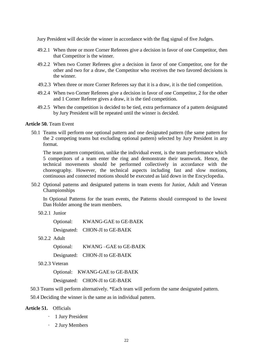Jury President will decide the winner in accordance with the flag signal of five Judges.

- 49.2.1 When three or more Corner Referees give a decision in favor of one Competitor, then that Competitor is the winner.
- 49.2.2 When two Corner Referees give a decision in favor of one Competitor, one for the other and two for a draw, the Competitor who receives the two favored decisions is the winner.
- 49.2.3 When three or more Corner Referees say that it is a draw, it is the tied competition.
- 49.2.4 When two Corner Referees give a decision in favor of one Competitor, 2 for the other and 1 Corner Referee gives a draw, it is the tied competition.
- 49.2.5 When the competition is decided to be tied, extra performance of a pattern designated by Jury President will be repeated until the winner is decided.

### **Article 50.** Team Event

50.1 Teams will perform one optional pattern and one designated pattern (the same pattern for the 2 competing teams but excluding optional pattern) selected by Jury President in any format.

The team pattern competition, unlike the individual event, is the team performance which 5 competitors of a team enter the ring and demonstrate their teamwork. Hence, the technical movements should be performed collectively in accordance with the choreography. However, the technical aspects including fast and slow motions, continuous and connected motions should be executed as laid down in the Encyclopedia.

50.2 Optional patterns and designated patterns in team events for Junior, Adult and Veteran Championships

In Optional Patterns for the team events, the Patterns should correspond to the lowest Dan Holder among the team members.

50.2.1 Junior

Optional: KWANG-GAE to GE-BAEK Designated: CHON-JI to GE-BAEK

50.2.2 Adult

Optional: KWANG –GAE to GE-BAEK

Designated: CHON-JI to GE-BAEK

50.2.3 Veteran

Optional: KWANG-GAE to GE-BAEK

Designated: CHON-JI to GE-BAEK

50.3 Teams will perform alternatively. \*Each team will perform the same designated pattern.

50.4 Deciding the winner is the same as in individual pattern.

### **Article 51.** Officials

- · 1 Jury President
- · 2 Jury Members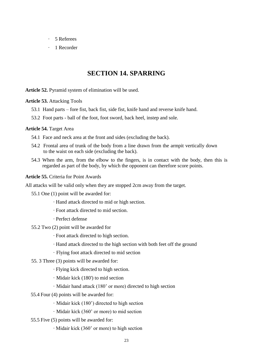- · 5 Referees
- · 1 Recorder

## **SECTION 14. SPARRING**

**Article 52.** Pyramid system of elimination will be used.

**Article 53.** Attacking Tools

- 53.1 Hand parts fore fist, back fist, side fist, knife hand and reverse knife hand.
- 53.2 Foot parts ball of the foot, foot sword, back heel, instep and sole.

**Article 54.** Target Area

- 54.1 Face and neck area at the front and sides (excluding the back).
- 54.2 Frontal area of trunk of the body from a line drawn from the armpit vertically down to the waist on each side (excluding the back).
- 54.3 When the arm, from the elbow to the fingers, is in contact with the body, then this is regarded as part of the body, by which the opponent can therefore score points.

**Article 55.** Criteria for Point Awards

All attacks will be valid only when they are stopped 2cm away from the target.

55.1 One (1) point will be awarded for:

- · Hand attack directed to mid or high section.
- · Foot attack directed to mid section.
- · Perfect defense
- 55.2 Two (2) point will be awarded for
	- · Foot attack directed to high section.
	- · Hand attack directed to the high section with both feet off the ground
	- · Flying foot attack directed to mid section
- 55. 3 Three (3) points will be awarded for:
	- · Flying kick directed to high section.
	- · Midair kick (180') to mid section
	- · Midair hand attack (180' or more) directed to high section
- 55.4 Four (4) points will be awarded for:
	- · Midair kick (180') directed to high section
	- · Midair kick (360' or more) to mid section
- 55.5 Five (5) points will be awarded for:

· Midair kick (360' or more) to high section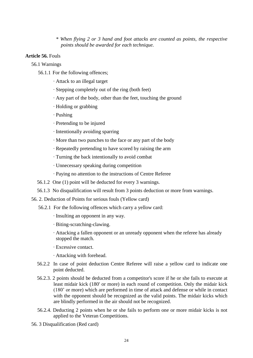*\* When flying 2 or 3 hand and foot attacks are counted as points, the respective points should be awarded for each technique.*

### **Article 56.** Fouls

56.1 Warnings

56.1.1 For the following offences;

- · Attack to an illegal target
- · Stepping completely out of the ring (both feet)
- · Any part of the body, other than the feet, touching the ground
- · Holding or grabbing
- · Pushing
- · Pretending to be injured
- · Intentionally avoiding sparring
- · More than two punches to the face or any part of the body
- · Repeatedly pretending to have scored by raising the arm
- · Turning the back intentionally to avoid combat
- · Unnecessary speaking during competition
- · Paying no attention to the instructions of Centre Referee
- 56.1.2 One (1) point will be deducted for every 3 warnings.
- 56.1.3 No disqualification will result from 3 points deduction or more from warnings.
- 56. 2. Deduction of Points for serious fouls (Yellow card)
	- 56.2.1 For the following offences which carry a yellow card:
		- · Insulting an opponent in any way.
		- · Biting-scratching-clawing.
		- · Attacking a fallen opponent or an unready opponent when the referee has already stopped the match.
		- · Excessive contact.
		- · Attacking with forehead.
	- 56.2.2 In case of point deduction Centre Referee will raise a yellow card to indicate one point deducted.
	- 56.2.3. 2 points should be deducted from a competitor's score if he or she fails to execute at least midair kick (180' or more) in each round of competition. Only the midair kick (180' or more) which are performed in time of attack and defense or while in contact with the opponent should be recognized as the valid points. The midair kicks which are blindly performed in the air should not be recognized.
	- 56.2.4. Deducting 2 points when he or she fails to perform one or more midair kicks is not applied to the Veteran Competitions.
- 56. 3 Disqualification (Red card)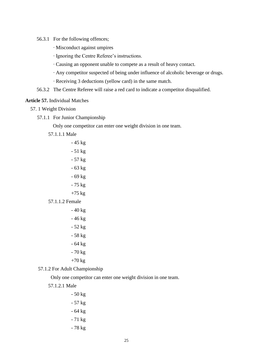56.3.1 For the following offences;

- · Misconduct against umpires
- · Ignoring the Centre Referee's instructions.
- · Causing an opponent unable to compete as a result of heavy contact.
- · Any competitor suspected of being under influence of alcoholic beverage or drugs.
- · Receiving 3 deductions (yellow card) in the same match.
- 56.3.2 The Centre Referee will raise a red card to indicate a competitor disqualified.

### **Article 57.** Individual Matches

- 57. 1 Weight Division
	- 57.1.1 For Junior Championship

Only one competitor can enter one weight division in one team.

- 57.1.1.1 Male
	- 45 kg
	- 51 kg
	- 57 kg
	- 63 kg
	- 69 kg
	- 75 kg
	- $+75$  kg

57.1.1.2 Female

- 40 kg
- 46 kg
- 52 kg
- 58 kg
- 64 kg
- 70 kg
- $+70$  kg
- 57.1.2 For Adult Championship

Only one competitor can enter one weight division in one team.

57.1.2.1 Male

- 50 kg
- 57 kg
- 64 kg
- 71 kg
- 78 kg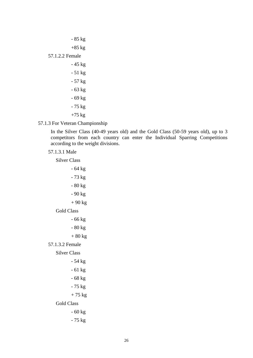- 85 kg

+85 kg

57.1.2.2 Female

- 45 kg - 51 kg - 57 kg - 63 kg - 69 kg - 75 kg +75 kg

57.1.3 For Veteran Championship

In the Silver Class (40-49 years old) and the Gold Class (50-59 years old), up to 3 competitors from each country can enter the Individual Sparring Competitions according to the weight divisions.

57.1.3.1 Male

Silver Class

- 64 kg - 73 kg
- 80 kg
- 90 kg
- + 90 kg

Gold Class

- 66 kg

- 80 kg

+ 80 kg

57.1.3.2 Female

Silver Class

- 54 kg
- 61 kg
- 68 kg
- 75 kg
- + 75 kg

Gold Class

- 60 kg
- 75 kg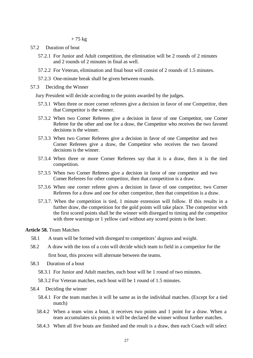+ 75 kg

57.2 Duration of bout

- 57.2.1 For Junior and Adult competition, the elimination will be 2 rounds of 2 minutes and 2 rounds of 2 minutes in final as well.
- 57.2.2 For Veteran, elimination and final bout will consist of 2 rounds of 1.5 minutes.
- 57.2.3 One-minute break shall be given between rounds.
- 57.3 Deciding the Winner

Jury President will decide according to the points awarded by the judges.

- 57.3.1 When three or more corner referees give a decision in favor of one Competitor, then that Competitor is the winner.
- 57.3.2 When two Corner Referees give a decision in favor of one Competitor, one Corner Referee for the other and one for a draw, the Competitor who receives the two favored decisions is the winner.
- 57.3.3 When two Corner Referees give a decision in favor of one Competitor and two Corner Referees give a draw, the Competitor who receives the two favored decisions is the winner.
- 57.3.4 When three or more Corner Referees say that it is a draw, then it is the tied competition.
- 57.3.5 When two Corner Referees give a decision in favor of one competitor and two Corner Referees for other competitor, then that competition is a draw.
- 57.3.6 When one corner referee gives a decision in favor of one competitor, two Corner Referees for a draw and one for other competitor, then that competition is a draw.
- 57.3.7. When the competition is tied, 1 minute extension will follow. If this results in a further draw, the competition for the gold points will take place. The competitor with the first scored points shall be the winner with disregard to timing and the competitor with three warnings or 1 yellow card without any scored points is the loser.

### **Article 58.** Team Matches

- 58.1 A team will be formed with disregard to competitors' degrees and weight.
- 58.2 A draw with the toss of a coin will decide which team to field in a competitor for the first bout, this process will alternate between the teams.
- 58.3 Duration of a bout
	- 58.3.1 For Junior and Adult matches, each bout will be 1 round of two minutes.
	- 58.3.2 For Veteran matches, each bout will be 1 round of 1.5 minutes.
- 58.4 Deciding the winner
	- 58.4.1 For the team matches it will be same as in the individual matches. (Except for a tied match)
	- 58.4.2 When a team wins a bout, it receives two points and 1 point for a draw. When a team accumulates six points it will be declared the winner without further matches.
	- 58.4.3 When all five bouts are finished and the result is a draw, then each Coach will select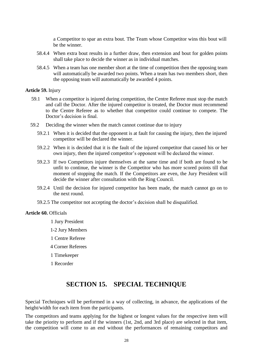a Competitor to spar an extra bout. The Team whose Competitor wins this bout will be the winner.

- 58.4.4 When extra bout results in a further draw, then extension and bout for golden points shall take place to decide the winner as in individual matches.
- 58.4.5 When a team has one member short at the time of competition then the opposing team will automatically be awarded two points. When a team has two members short, then the opposing team will automatically be awarded 4 points.

### **Article 59.** Injury

- 59.1 When a competitor is injured during competition, the Centre Referee must stop the match and call the Doctor. After the injured competitor is treated, the Doctor must recommend to the Centre Referee as to whether that competitor could continue to compete. The Doctor's decision is final.
- 59.2 Deciding the winner when the match cannot continue due to injury
	- 59.2.1 When it is decided that the opponent is at fault for causing the injury, then the injured competitor will be declared the winner.
	- 59.2.2 When it is decided that it is the fault of the injured competitor that caused his or her own injury, then the injured competitor's opponent will be declared the winner.
	- 59.2.3 If two Competitors injure themselves at the same time and if both are found to be unfit to continue, the winner is the Competitor who has more scored points till that moment of stopping the match. If the Competitors are even, the Jury President will decide the winner after consultation with the Ring Council.
	- 59.2.4 Until the decision for injured competitor has been made, the match cannot go on to the next round.
	- 59.2.5 The competitor not accepting the doctor's decision shall be disqualified.

### **Article 60.** Officials

- 1 Jury President
- 1-2 Jury Members
- 1 Centre Referee
- 4 Corner Referees
- 1 Timekeeper
- 1 Recorder

## **SECTION 15. SPECIAL TECHNIQUE**

Special Techniques will be performed in a way of collecting, in advance, the applications of the height/width for each item from the participants.

The competitors and teams applying for the highest or longest values for the respective item will take the priority to perform and if the winners (1st, 2nd, and 3rd place) are selected in that item, the competition will come to an end without the performances of remaining competitors and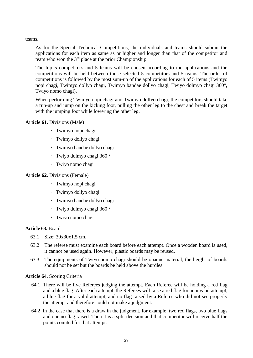teams.

- As for the Special Technical Competitions, the individuals and teams should submit the applications for each item as same as or higher and longer than that of the competitor and team who won the  $3<sup>rd</sup>$  place at the prior Championship.
- The top 5 competitors and 5 teams will be chosen according to the applications and the competitions will be held between those selected 5 competitors and 5 teams. The order of competitions is followed by the most sum-up of the applications for each of 5 items (Twimyo nopi chagi, Twimyo dollyo chagi, Twimyo bandae dollyo chagi, Twiyo dolmyo chagi 360°, Twiyo nomo chagi).
- When performing Twimyo nopi chagi and Twimyo dollyo chagi, the competitors should take a run-up and jump on the kicking foot, pulling the other leg to the chest and break the target with the jumping foot while lowering the other leg.

### **Article 61.** Divisions (Male)

- · Twimyo nopi chagi
- · Twimyo dollyo chagi
- · Twimyo bandae dollyo chagi
- · Twiyo dolmyo chagi 360 °
- · Twiyo nomo chagi

### **Article 62.** Divisions (Female)

- · Twimyo nopi chagi
- · Twimyo dollyo chagi
- · Twimyo bandae dollyo chagi
- · Twiyo dolmyo chagi 360 °
- · Twiyo nomo chagi

### **Article 63.** Board

- 63.1 Size: 30x30x1.5 cm.
- 63.2 The referee must examine each board before each attempt. Once a wooden board is used, it cannot be used again. However, plastic boards may be reused.
- 63.3 The equipments of Twiyo nomo chagi should be opaque material, the height of boards should not be set but the boards be held above the hurdles.

### **Article 64.** Scoring Criteria

- 64.1 There will be five Referees judging the attempt. Each Referee will be holding a red flag and a blue flag. After each attempt, the Referees will raise a red flag for an invalid attempt, a blue flag for a valid attempt, and no flag raised by a Referee who did not see properly the attempt and therefore could not make a judgment.
- 64.2 In the case that there is a draw in the judgment, for example, two red flags, two blue flags and one no flag raised. Then it is a split decision and that competitor will receive half the points counted for that attempt.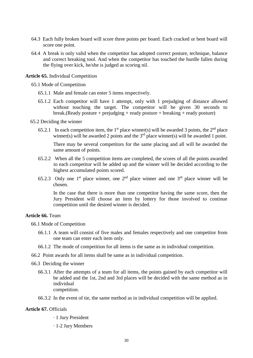- 64.3 Each fully broken board will score three points per board. Each cracked or bent board will score one point.
- 64.4 A break is only valid when the competitor has adopted correct posture, technique, balance and correct breaking tool. And when the competitor has touched the hurdle fallen during the flying over kick, he/she is judged as scoring nil.

### **Article 65.** Individual Competition

65.1 Mode of Competition

- 65.1.1 Male and female can enter 5 items respectively.
- 65.1.2 Each competitor will have 1 attempt, only with 1 prejudging of distance allowed without touching the target. The competitor will be given 30 seconds to  $break.$ (Ready posture + prejudging + ready posture + breaking + ready posture)

### 65.2 Deciding the winner

65.2.1 In each competition item, the 1<sup>st</sup> place winner(s) will be awarded 3 points, the 2<sup>nd</sup> place winner(s) will be awarded 2 points and the  $3<sup>rd</sup>$  place winner(s) will be awarded 1 point.

There may be several competitors for the same placing and all will be awarded the same amount of points.

- 65.2.2 When all the 5 competition items are completed, the scores of all the points awarded to each competitor will be added up and the winner will be decided according to the highest accumulated points scored.
- 65.2.3 Only one  $1<sup>st</sup>$  place winner, one  $2<sup>nd</sup>$  place winner and one  $3<sup>rd</sup>$  place winner will be chosen.

In the case that there is more than one competitor having the same score, then the Jury President will choose an item by lottery for those involved to continue competition until the desired winner is decided.

### **Article 66.** Team

66.1 Mode of Competition

- 66.1.1 A team will consist of five males and females respectively and one competitor from one team can enter each item only.
- 66.1.2 The mode of competition for all items is the same as in individual competition.
- 66.2 Point awards for all items shall be same as in individual competition.
- 66.3 Deciding the winner
	- 66.3.1 After the attempts of a team for all items, the points gained by each competitor will be added and the 1st, 2nd and 3rd places will be decided with the same method as in individual competition.
	- 66.3.2 In the event of tie, the same method as in individual competition will be applied.

### **Article 67.** Officials

- · 1 Jury President
- · 1-2 Jury Members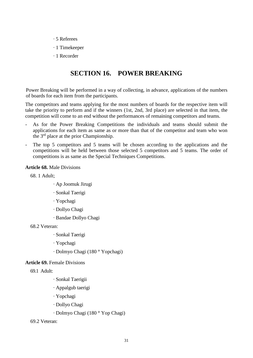- · 5 Referees
- · 1 Timekeeper
- · 1 Recorder

## **SECTION 16. POWER BREAKING**

Power Breaking will be performed in a way of collecting, in advance, applications of the numbers of boards for each item from the participants.

The competitors and teams applying for the most numbers of boards for the respective item will take the priority to perform and if the winners (1st, 2nd, 3rd place) are selected in that item, the competition will come to an end without the performances of remaining competitors and teams.

- As for the Power Breaking Competitions the individuals and teams should submit the applications for each item as same as or more than that of the competitor and team who won the 3rd place at the prior Championship.
- The top 5 competitors and 5 teams will be chosen according to the applications and the competitions will be held between those selected 5 competitors and 5 teams. The order of competitions is as same as the Special Techniques Competitions.

### **Article 68.** Male Divisions

68. 1 Adult;

- · Ap Joomuk Jirugi
- · Sonkal Taerigi
- · Yopchagi
- · Dollyo Chagi
- · Bandae Dollyo Chagi

### 68.2 Veteran:

- · Sonkal Taerigi
- · Yopchagi
- · Dolmyo Chagi (180 **°** Yopchagi)

### **Article 69.** Female Divisions

69.1 Adult:

- · Sonkal Taerigii
- · Appalgub taerigi
- · Yopchagi
- · Dollyo Chagi
- · Dolmyo Chagi (180 **°** Yop Chagi)

69.2 Veteran: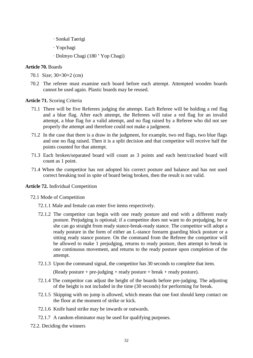- · Sonkal Taerigi
- · Yopchagi
- · Dolmyo Chagi (180 **'** Yop Chagi)

### **Article 70.** Boards

- 70.1 Size; 30×30×2 (cm)
- 70.2 The referee must examine each board before each attempt. Attempted wooden boards cannot be used again. Plastic boards may be reused.

### **Article 71.** Scoring Criteria

- 71.1 There will be five Referees judging the attempt. Each Referee will be holding a red flag and a blue flag. After each attempt, the Referees will raise a red flag for an invalid attempt, a blue flag for a valid attempt, and no flag raised by a Referee who did not see properly the attempt and therefore could not make a judgment.
- 71.2 In the case that there is a draw in the judgment, for example, two red flags, two blue flags and one no flag raised. Then it is a split decision and that competitor will receive half the points counted for that attempt.
- 71.3 Each broken/separated board will count as 3 points and each bent/cracked board will count as 1 point.
- 71.4 When the competitor has not adopted his correct posture and balance and has not used correct breaking tool in spite of board being broken, then the result is not valid.

### **Article 72.** Individual Competition

### 72.1 Mode of Competition

- 72.1.1 Male and female can enter five items respectively.
- 72.1.2 The competitor can begin with one ready posture and end with a different ready posture. Prejudging is optional; if a competitor does not want to do prejudging, he or she can go straight from ready stance-break-ready stance. The competitor will adopt a ready posture in the form of either an L-stance forearm guarding block posture or a sitting ready stance posture. On the command from the Referee the competitor will be allowed to make 1 prejudging, returns to ready posture, then attempt to break in one continuous movement, and returns to the ready posture upon completion of the attempt.
- 72.1.3 Upon the command signal, the competitor has 30 seconds to complete that item.

(Ready posture + pre-judging + ready posture + break + ready posture).

- 72.1.4 The competitor can adjust the height of the boards before pre-judging. The adjusting of the height is not included in the time (30 seconds) for performing for break.
- 72.1.5 Skipping with no jump is allowed, which means that one foot should keep contact on the floor at the moment of strike or kick.
- 72.1.6 Knife hand strike may be inwards or outwards.
- 72.1.7 A random eliminator may be used for qualifying purposes.
- 72.2. Deciding the winners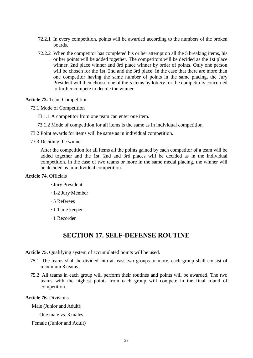- 72.2.1 In every competition, points will be awarded according to the numbers of the broken boards.
- 72.2.2 When the competitor has completed his or her attempt on all the 5 breaking items, his or her points will be added together. The competitors will be decided as the 1st place winner, 2nd place winner and 3rd place winner by order of points. Only one person will be chosen for the 1st, 2nd and the 3rd place. In the case that there are more than one competitor having the same number of points in the same placing, the Jury President will then choose one of the 5 items by lottery for the competitors concerned to further compete to decide the winner.

**Article 73.** Team Competition

73.1 Mode of Competition

- 73.1.1 A competitor from one team can enter one item.
- 73.1.2 Mode of competition for all items is the same as in individual competition.
- 73.2 Point awards for items will be same as in individual competition.
- 73.3 Deciding the winner

After the competition for all items all the points gained by each competitor of a team will be added together and the 1st, 2nd and 3rd places will be decided as in the individual competition. In the case of two teams or more in the same medal placing, the winner will be decided as in individual competition.

### **Article 74.** Officials

- ·Jury President
- · 1-2 Jury Member
- · 5 Referees
- · 1 Time keeper
- · 1 Recorder

## **SECTION 17. SELF-DEFENSE ROUTINE**

**Article 75.** Qualifying system of accumulated points will be used.

- 75.1 The teams shall be divided into at least two groups or more, each group shall consist of maximum 8 teams.
- 75.2 All teams in each group will perform their routines and points will be awarded. The two teams with the highest points from each group will compete in the final round of competition.

### **Article 76.** Divisions

Male (Junior and Adult);

One male vs. 3 males

Female (Junior and Adult)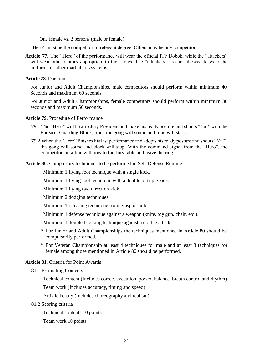One female vs. 2 persons (male or female)

"Hero" must be the competitor of relevant degree. Others may be any competitors.

**Article 77.** The "Hero" of the performance will wear the official ITF Dobok, while the "attackers" will wear other clothes appropriate to their roles. The "attackers" are not allowed to wear the uniforms of other martial arts systems.

### **Article 78.** Duration

For Junior and Adult Championships, male competitors should perform within minimum 40 Seconds and maximum 60 seconds.

For Junior and Adult Championships, female competitors should perform within minimum 30 seconds and maximum 50 seconds.

### **Article 79.** Procedure of Performance

- 79.1 The "Hero" will bow to Jury President and make his ready posture and shouts "Ya!" with the Forearm Guarding Block), then the gong will sound and time will start.
- 79.2 When the "Hero" finishes his last performance and adopts his ready posture and shouts "Ya!", the gong will sound and clock will stop. With the command signal from the "Hero", the competitors in a line will bow to the Jury table and leave the ring.

**Article 80.** Compulsory techniques to be performed in Self-Defense Routine

- · Minimum 1 flying foot technique with a single kick.
- · Minimum 1 flying foot technique with a double or triple kick.
- · Minimum 1 flying two direction kick.
- · Minimum 2 dodging techniques.
- · Minimum 1 releasing technique from grasp or hold.
- · Minimum 1 defense technique against a weapon (knife, toy gun, chair, etc.).
- · Minimum 1 double blocking technique against a double attack.
- \* For Junior and Adult Championships the techniques mentioned in Article 80 should be compulsorily performed.
- \* For Veteran Championship at least 4 techniques for male and at least 3 techniques for female among those mentioned in Article 80 should be performed.

### **Article 81.** Criteria for Point Awards

- 81.1 Estimating Contents
	- · Technical content (Includes correct execution, power, balance, breath control and rhythm)
	- · Team work (Includes accuracy, timing and speed)
	- · Artistic beauty (Includes choreography and realism)
- 81.2 Scoring criteria
	- · Technical contents 10 points
	- · Team work 10 points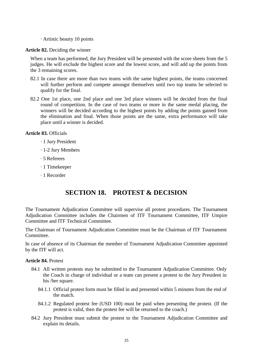· Artistic beauty 10 points

### **Article 82.** Deciding the winner

When a team has performed, the Jury President will be presented with the score sheets from the 5 judges. He will exclude the highest score and the lowest score, and will add up the points from the 3 remaining scores.

- 82.1 In case there are more than two teams with the same highest points, the teams concerned will further perform and compete amongst themselves until two top teams be selected to qualify for the final.
- 82.2 One 1st place, one 2nd place and one 3rd place winners will be decided from the final round of competition. In the case of two teams or more in the same medal placing, the winners will be decided according to the highest points by adding the points gained from the elimination and final. When those points are the same, extra performance will take place until a winner is decided.

### **Article 83.** Officials

- · 1 Jury President
- · 1-2 Jury Members
- · 5 Referees
- · 1 Timekeeper
- · 1 Recorder

## **SECTION 18. PROTEST & DECISION**

The Tournament Adjudication Committee will supervise all protest procedures. The Tournament Adjudication Committee includes the Chairmen of ITF Tournament Committee, ITF Umpire Committee and ITF Technical Committee.

The Chairman of Tournament Adjudication Committee must be the Chairman of ITF Tournament Committee.

In case of absence of its Chairman the member of Tournament Adjudication Committee appointed by the ITF will act.

### **Article 84.** Protest

- 84.1 All written protests may be submitted to the Tournament Adjudication Committee. Only the Coach in charge of individual or a team can present a protest to the Jury President in his /her square.
	- 84.1.1 Official protest form must be filled in and presented within 5 minutes from the end of the match.
	- 84.1.2 Regulated protest fee (USD 100) must be paid when presenting the protest. (If the protest is valid, then the protest fee will be returned to the coach.)
- 84.2 Jury President must submit the protest to the Tournament Adjudication Committee and explain its details.